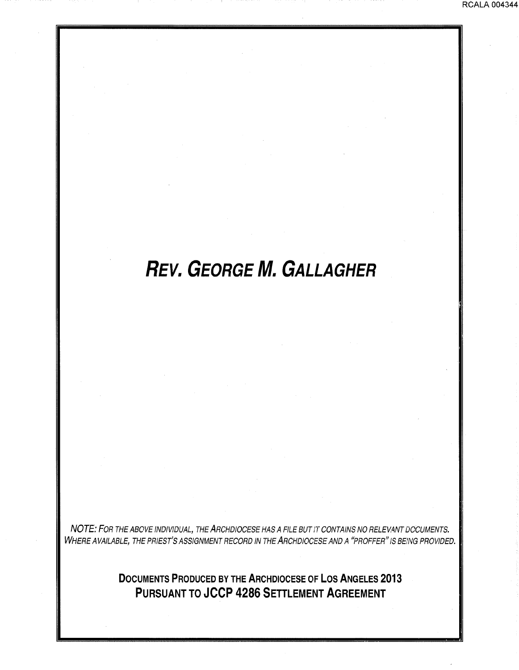# **REV. GEORGE M. GALLAGHER**

NOTE: FOR THE ABOVE INDIVIDUAL, THE ARCHDIOCESE HAS A FILE BUT IT CONTAINS NO RELEVANT DOCUMENTS. WHERE AVAILABLE, THE PRIEST'S ASSIGNMENT RECORD IN THE ARCHDIOCESE AND A "PROFFER" IS BEiNG PROVIDED.

> **DOCUMENTS PRODUCED BY THE ARCHDIOCESE OF LOS ANGELES 2013 PURSUANT TO JCCP 4286 SETTLEMENT AGREEMENT**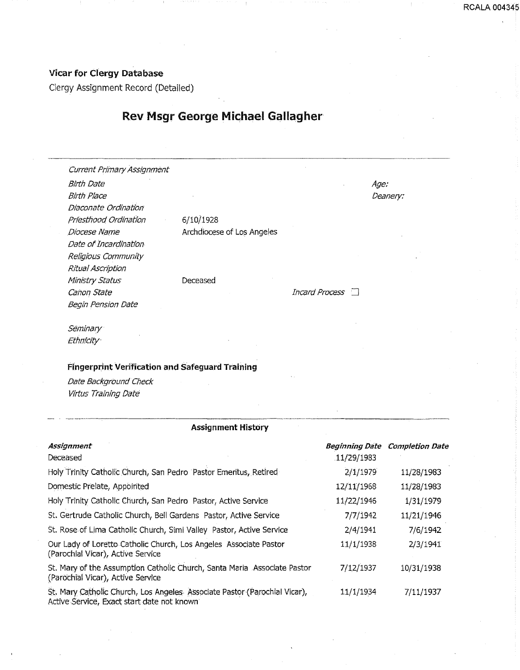#### Vicar for Clergy Database

Clergy Assignment Record (Detailed)

## Rev Msgr George Michael Gallagher

Current Primary Assignment Birth Date Age: Birth Place **Deanery: Deanery: Deanery: Deanery: Deanery: Deanery: Deanery: Deanery: Deanery: Deanery: Deanery: Deanery: Deanery: Deanery: Deanery: Deanery: Deanery: Deanery: Deanery:** Diaconate Ordination priesthood Ordination 6/10/1928 Date of Incardination Religious Community Ritual Ascription Ministry Status Canon State Begin Pension Date

Diocese Name Archdiocese of Los Angeles

Deceased

 $Incard$  Process  $\Box$ 

----------·····-------···-·· --·-·-··---·-·---··--·-·------····-·······--·-------

----------------------------------

RCALA 004345

Seminary Ethm'city·

#### Fingerprint Verification and Safeguard Training

Date Background Check Virtus Training Date

#### Assignment History

| Assignment                                                                                                               | Beginning Date | <b>Completion Date</b> |
|--------------------------------------------------------------------------------------------------------------------------|----------------|------------------------|
| Deceased                                                                                                                 | 11/29/1983     |                        |
| Holy Trinity Catholic Church, San Pedro Pastor Emeritus, Retired                                                         | 2/1/1979       | 11/28/1983             |
| Domestic Prelate, Appointed                                                                                              | 12/11/1968     | 11/28/1983             |
| Holy Trinity Catholic Church, San Pedro Pastor, Active Service                                                           | 11/22/1946     | 1/31/1979              |
| St. Gertrude Catholic Church, Bell Gardens Pastor, Active Service                                                        | 7/7/1942       | 11/21/1946             |
| St. Rose of Lima Catholic Church, Simi Valley Pastor, Active Service                                                     | 2/4/1941       | 7/6/1942               |
| Our Lady of Loretto Catholic Church, Los Angeles Associate Pastor<br>(Parochial Vicar), Active Service                   | 11/1/1938      | 2/3/1941               |
| St. Mary of the Assumption Catholic Church, Santa Maria Associate Pastor<br>(Parochial Vicar), Active Service            | 7/12/1937      | 10/31/1938             |
| St. Mary Catholic Church, Los Angeles. Associate Pastor (Parochial Vicar),<br>Active Service, Exact start date not known | 11/1/1934      | 7/11/1937              |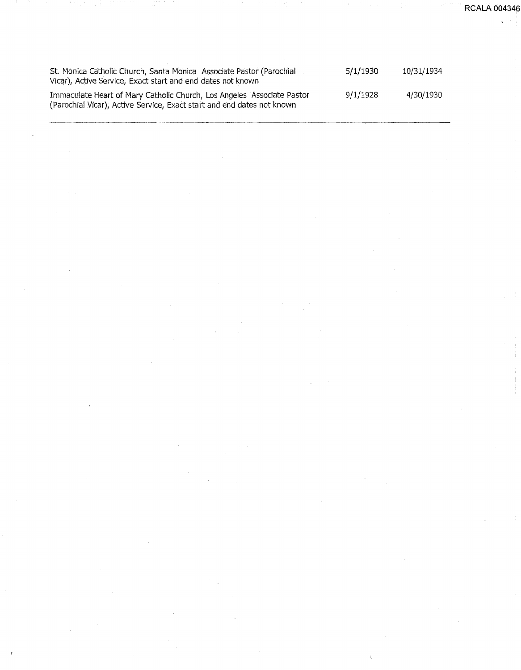St. Monica Catholic Church, Santa Monica Associate Pastor (Parochial Vicar), Active Service, Exact start and end dates not known Immaculate Heart of Mary Catholic Church, Los Angeles Associate Pastor (Parochial Vicar), Active Service, Exact start and end dates not known 5/1/1930 9/1/1928 10/31/1934 4/30/1930

Ü